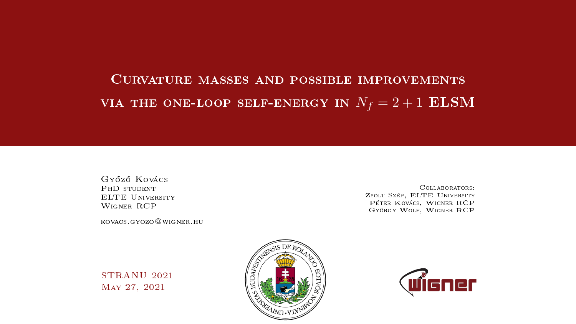# Curvature masses and possible improvements VIA THE ONE-LOOP SELF-ENERGY IN  $N_f = 2 + 1$  ELSM

Gy®z® Kovács PhD student ELTE University Wigner RCP

kovacs.gyozo@wigner.hu

Collaborators: Zsolt Szép, ELTE University Péter Kovács, Wigner RCP György Wolf, Wigner RCP

STRANU 2021 May 27, 2021



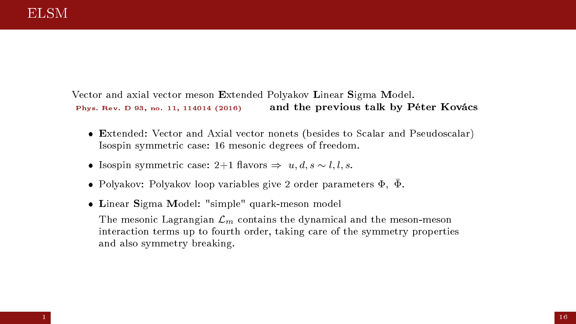Vector and axial vector meson Extended Polyakov Linear Sigma Model. Phys. Rev. D 93, no. 11, 114014 (2016) and the previous talk by Péter Kovács

- Extended: Vector and Axial vector nonets (besides to Scalar and Pseudoscalar) Isospin symmetric case: 16 mesonic degrees of freedom.
- Isospin symmetric case: 2+1 flavors  $\Rightarrow u, d, s \sim l, l, s$ .
- $\bullet\,$  Polyakov: Polyakov loop variables give 2 order parameters  $\Phi,\;\bar\Phi.$
- Linear Sigma Model: "simple" quark-meson model

The mesonic Lagrangian  $\mathcal{L}_m$  contains the dynamical and the meson-meson interaction terms up to fourth order, taking care of the symmetry properties and also symmetry breaking.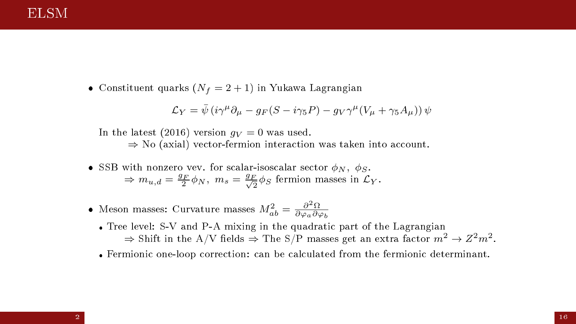### ELSM

• Constituent quarks  $(N_f = 2 + 1)$  in Yukawa Lagrangian

$$
\mathcal{L}_Y = \bar{\psi} \left( i \gamma^\mu \partial_\mu - g_F (S - i \gamma_5 P) - g_V \gamma^\mu (V_\mu + \gamma_5 A_\mu) \right) \psi
$$

In the latest (2016) version  $q_V = 0$  was used.  $\Rightarrow$  No (axial) vector-fermion interaction was taken into account.

- SSB with nonzero vev. for scalar-isoscalar sector  $\phi_N$ ,  $\phi_S$ .  $\Rightarrow m_{u,d} = \frac{g_F}{2} \phi_N$ ,  $m_s = \frac{g_F}{\sqrt{2}} \phi_S$  fermion masses in  $\mathcal{L}_Y$ .
- Meson masses: Curvature masses  $M^2_{ab} = \frac{\partial^2 \Omega}{\partial \varphi_a \partial \varphi_b}$ 
	- Tree level: S-V and P-A mixing in the quadratic part of the Lagrangian  $\Rightarrow$  Shift in the A/V fields  $\Rightarrow$  The S/P masses get an extra factor  $m^2\to Z^2m^2.$
	- Fermionic one-loop correction: can be calculated from the fermionic determinant.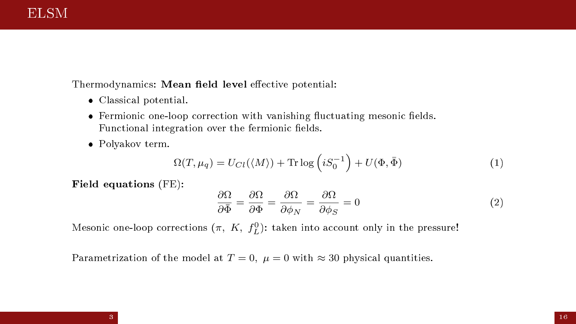Thermodynamics: Mean field level effective potential:

- Classical potential.
- $\bullet$  Fermionic one-loop correction with vanishing fluctuating mesonic fields. Functional integration over the fermionic fields.
- Polyakov term.

$$
\Omega(T, \mu_q) = U_{Cl}(\langle M \rangle) + \text{Tr} \log \left( i S_0^{-1} \right) + U(\Phi, \bar{\Phi}) \tag{1}
$$

Field equations (FE):

$$
\frac{\partial \Omega}{\partial \bar{\Phi}} = \frac{\partial \Omega}{\partial \Phi} = \frac{\partial \Omega}{\partial \phi_N} = \frac{\partial \Omega}{\partial \phi_S} = 0
$$
\n(2)

Mesonic one-loop corrections  $(\pi,\;K,\;f_{L}^{0})$ : taken into account only in the pressure!

Parametrization of the model at  $T = 0$ ,  $\mu = 0$  with  $\approx 30$  physical quantities.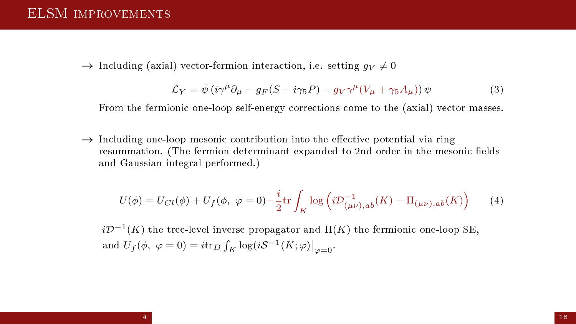$\rightarrow$  Including (axial) vector-fermion interaction, i.e. setting  $q_V \neq 0$ 

$$
\mathcal{L}_Y = \bar{\psi} \left( i \gamma^\mu \partial_\mu - g_F (S - i \gamma_5 P) - g_V \gamma^\mu (V_\mu + \gamma_5 A_\mu) \right) \psi \tag{3}
$$

From the fermionic one-loop self-energy corrections come to the (axial) vector masses.

 $\rightarrow$  Including one-loop mesonic contribution into the effective potential via ring resummation. (The fermion determinant expanded to 2nd order in the mesonic fields and Gaussian integral performed.)

<span id="page-4-0"></span>
$$
U(\phi) = U_{Cl}(\phi) + U_f(\phi, \ \varphi = 0) - \frac{i}{2} \text{tr} \int_K \log \left( i \mathcal{D}_{(\mu \nu), ab}^{-1}(K) - \Pi_{(\mu \nu), ab}(K) \right) \tag{4}
$$

 $i{\cal D}^{-1}(K)$  the tree-level inverse propagator and  $\Pi(K)$  the fermionic one-loop SE, and  $U_f(\phi, \varphi = 0) = i \text{tr}_D \int_K \log(iS^{-1}(K; \varphi)) \Big|_{\varphi = 0}$ .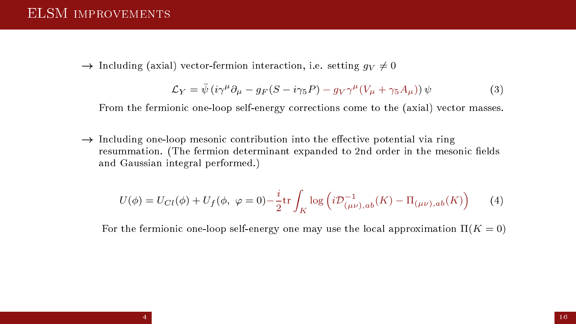$\rightarrow$  Including (axial) vector-fermion interaction, i.e. setting  $q_V \neq 0$ 

$$
\mathcal{L}_Y = \bar{\psi} \left( i \gamma^\mu \partial_\mu - g_F (S - i \gamma_5 P) - g_V \gamma^\mu (V_\mu + \gamma_5 A_\mu) \right) \psi \tag{3}
$$

From the fermionic one-loop self-energy corrections come to the (axial) vector masses.

 $\rightarrow$  Including one-loop mesonic contribution into the effective potential via ring resummation. (The fermion determinant expanded to 2nd order in the mesonic fields and Gaussian integral performed.)

$$
U(\phi) = U_{Cl}(\phi) + U_f(\phi, \ \varphi = 0) - \frac{i}{2} \text{tr} \int_K \log \left( i \mathcal{D}_{(\mu \nu), ab}^{-1}(K) - \Pi_{(\mu \nu), ab}(K) \right) \tag{4}
$$

For the fermionic one-loop self-energy one may use the local approximation  $\Pi(K=0)$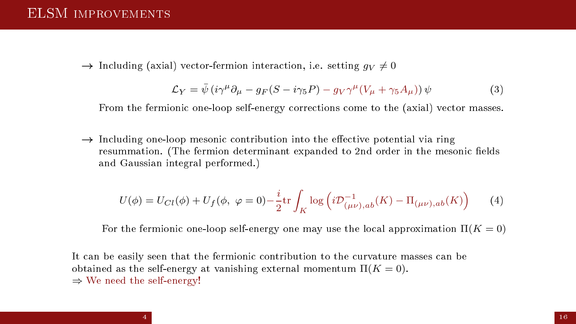$\rightarrow$  Including (axial) vector-fermion interaction, i.e. setting  $q_V \neq 0$ 

$$
\mathcal{L}_Y = \bar{\psi} \left( i \gamma^\mu \partial_\mu - g_F (S - i \gamma_5 P) - g_V \gamma^\mu (V_\mu + \gamma_5 A_\mu) \right) \psi \tag{3}
$$

From the fermionic one-loop self-energy corrections come to the (axial) vector masses.

 $\rightarrow$  Including one-loop mesonic contribution into the effective potential via ring resummation. (The fermion determinant expanded to 2nd order in the mesonic fields and Gaussian integral performed.)

$$
U(\phi) = U_{Cl}(\phi) + U_f(\phi, \ \varphi = 0) - \frac{i}{2} \text{tr} \int_K \log \left( i \mathcal{D}_{(\mu \nu), ab}^{-1}(K) - \Pi_{(\mu \nu), ab}(K) \right) \tag{4}
$$

For the fermionic one-loop self-energy one may use the local approximation  $\Pi(K=0)$ 

It can be easily seen that the fermionic contribution to the curvature masses can be obtained as the self-energy at vanishing external momentum  $\Pi(K=0)$ . ⇒ We need the self-energy!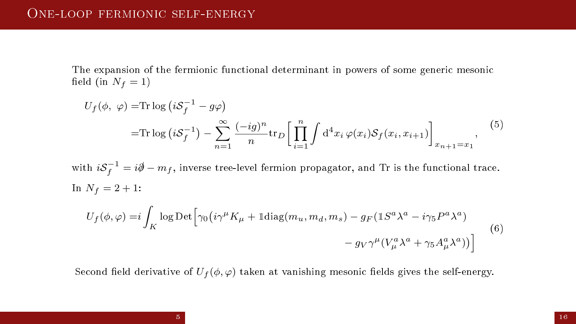The expansion of the fermionic functional determinant in powers of some generic mesonic field (in  $N_f = 1$ )

$$
U_f(\phi, \varphi) = \text{Tr} \log \left( i \mathcal{S}_f^{-1} - g\varphi \right)
$$
  
= 
$$
\text{Tr} \log \left( i \mathcal{S}_f^{-1} \right) - \sum_{n=1}^{\infty} \frac{(-ig)^n}{n} \text{tr}_D \left[ \prod_{i=1}^n \int d^4 x_i \, \varphi(x_i) \mathcal{S}_f(x_i, x_{i+1}) \right]_{x_{n+1} = x_1},
$$
 (5)

with  $i{\cal S}_f^{-1}=i\partial\!\!\!/-m_f,$  inverse tree-level fermion propagator, and  ${\rm Tr}$  is the functional trace. In  $N_f = 2 + 1$ :

$$
U_f(\phi, \varphi) = i \int_K \log \mathrm{Det} \left[ \gamma_0 \left( i \gamma^\mu K_\mu + \mathbb{1} \mathrm{diag}(m_u, m_d, m_s) - g_F (\mathbb{1} S^a \lambda^a - i \gamma_5 P^a \lambda^a) \right) - g_V \gamma^\mu (V_\mu^a \lambda^a + \gamma_5 A_\mu^a \lambda^a) \right] \tag{6}
$$

Second field derivative of  $U_f(\phi, \varphi)$  taken at vanishing mesonic fields gives the self-energy.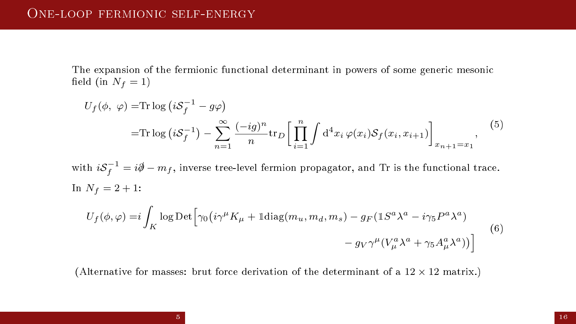The expansion of the fermionic functional determinant in powers of some generic mesonic field (in  $N_f = 1$ )

$$
U_f(\phi, \varphi) = \text{Tr} \log \left( i \mathcal{S}_f^{-1} - g\varphi \right)
$$
  
= 
$$
\text{Tr} \log \left( i \mathcal{S}_f^{-1} \right) - \sum_{n=1}^{\infty} \frac{(-ig)^n}{n} \text{tr}_D \left[ \prod_{i=1}^n \int d^4 x_i \, \varphi(x_i) \mathcal{S}_f(x_i, x_{i+1}) \right]_{x_{n+1} = x_1},
$$
 (5)

with  $i{\cal S}_f^{-1}=i\partial\!\!\!/-m_f,$  inverse tree-level fermion propagator, and  ${\rm Tr}$  is the functional trace. In  $N_f = 2 + 1$ :

$$
U_f(\phi, \varphi) = i \int_K \log \mathrm{Det} \left[ \gamma_0 \left( i \gamma^\mu K_\mu + \mathbb{1} \mathrm{diag}(m_u, m_d, m_s) - g_F ( \mathbb{1} S^a \lambda^a - i \gamma_5 P^a \lambda^a ) \right) - g_V \gamma^\mu (V_\mu^a \lambda^a + \gamma_5 A_\mu^a \lambda^a) \right] \tag{6}
$$

(Alternative for masses: brut force derivation of the determinant of a  $12 \times 12$  matrix.)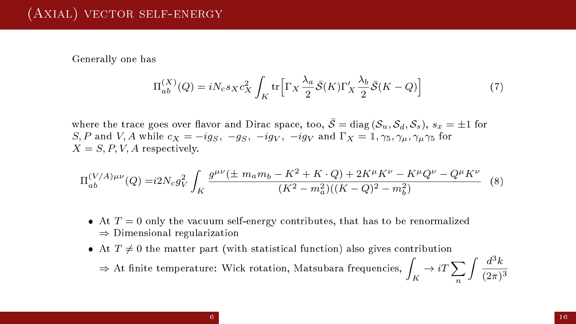### (Axial) vector self-energy

Generally one has

$$
\Pi_{ab}^{(X)}(Q) = iN_c s_X c_X^2 \int_K \text{tr}\Big[\Gamma_X \frac{\lambda_a}{2} \bar{\mathcal{S}}(K)\Gamma'_X \frac{\lambda_b}{2} \bar{\mathcal{S}}(K-Q)\Big] \tag{7}
$$

where the trace goes over flavor and Dirac space, too,  $\bar{S} = \text{diag}(\mathcal{S}_u, \mathcal{S}_d, \mathcal{S}_s)$ ,  $s_x = \pm 1$  for S, P and V, A while  $c_X = -ig_S, -g_S, -ig_V, -ig_V$  and  $\Gamma_X = \mathbb{I}, \gamma_5, \gamma_\mu, \gamma_\mu, \gamma_5$  for  $X = S, P, V, A$  respectively.

$$
\Pi_{ab}^{(V/A)\mu\nu}(Q) = i2N_c g_V^2 \int_K \frac{g^{\mu\nu}(\pm m_a m_b - K^2 + K \cdot Q) + 2K^{\mu}K^{\nu} - K^{\mu}Q^{\nu} - Q^{\mu}K^{\nu}}{(K^2 - m_a^2)((K - Q)^2 - m_b^2)}
$$
 (8)

- $\bullet$  At  $T = 0$  only the vacuum self-energy contributes, that has to be renormalized ⇒ Dimensional regularization
- At  $T \neq 0$  the matter part (with statistical function) also gives contribution  $\Rightarrow$  At finite temperature: Wick rotation, Matsubara frequencies,  $\displaystyle\int_K\to iT\sum_n$ n  $\int d^3k$  $(2\pi)^3$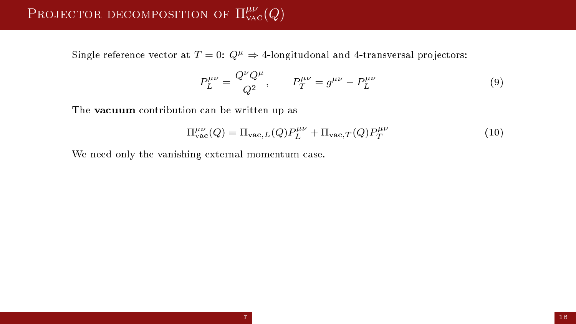# PROJECTOR DECOMPOSITION OF  $\Pi^{\mu\nu}_{\rm vac}(Q)$

Single reference vector at  $T = 0$ :  $Q^{\mu} \Rightarrow$  4-longitudonal and 4-transversal projectors:

$$
P_L^{\mu\nu} = \frac{Q^{\nu}Q^{\mu}}{Q^2}, \qquad P_T^{\mu\nu} = g^{\mu\nu} - P_L^{\mu\nu}
$$
 (9)

The vacuum contribution can be written up as

$$
\Pi^{\mu\nu}_{\text{vac}}(Q) = \Pi_{\text{vac},L}(Q)P^{\mu\nu}_{L} + \Pi_{\text{vac},T}(Q)P^{\mu\nu}_{T}
$$
\n(10)

We need only the vanishing external momentum case.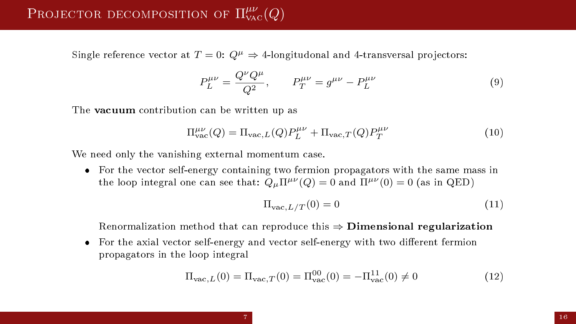Single reference vector at  $T = 0$ :  $Q^{\mu} \Rightarrow$  4-longitudonal and 4-transversal projectors:

$$
P_L^{\mu\nu} = \frac{Q^{\nu}Q^{\mu}}{Q^2}, \qquad P_T^{\mu\nu} = g^{\mu\nu} - P_L^{\mu\nu}
$$
 (9)

The vacuum contribution can be written up as

$$
\Pi^{\mu\nu}_{\text{vac}}(Q) = \Pi_{\text{vac},L}(Q)P^{\mu\nu}_{L} + \Pi_{\text{vac},T}(Q)P^{\mu\nu}_{T}
$$
\n(10)

We need only the vanishing external momentum case.

 For the vector self-energy containing two fermion propagators with the same mass in the loop integral one can see that:  $Q_{\mu} \Pi^{\mu\nu}(Q) = 0$  and  $\Pi^{\mu\nu}(0) = 0$  (as in QED)

$$
\Pi_{\text{vac},L/T}(0) = 0\tag{11}
$$

Renormalization method that can reproduce this  $\Rightarrow$  **Dimensional regularization** 

• For the axial vector self-energy and vector self-energy with two different fermion propagators in the loop integral

$$
\Pi_{\text{vac},L}(0) = \Pi_{\text{vac},T}(0) = \Pi_{\text{vac}}^{00}(0) = -\Pi_{\text{vac}}^{11}(0) \neq 0
$$
\n(12)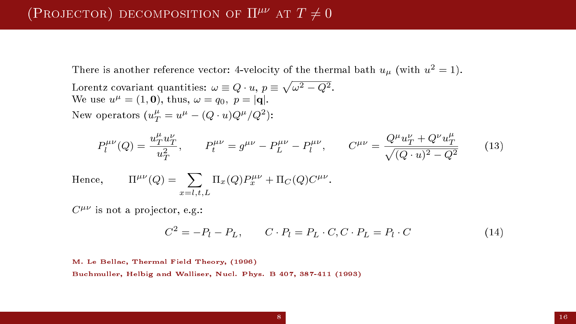## (PROJECTOR) DECOMPOSITION OF  $\Pi^{\mu\nu}$  at  $T \neq 0$

There is another reference vector: 4-velocity of the thermal bath  $u_\mu$  (with  $u^2=1).$ 

Lorentz covariant quantities:  $\omega \equiv Q \cdot u, \, p \equiv \sqrt{\omega^2 - Q^2}.$ We use  $u^{\mu} = (1, 0)$ , thus,  $\omega = q_0, p = |\mathbf{q}|$ . New operators  $(u_T^{\mu} = u^{\mu} - (Q \cdot u)Q^{\mu}/Q^2)$ :

$$
P_l^{\mu\nu}(Q) = \frac{u_T^{\mu} u_T^{\nu}}{u_T^2}, \qquad P_l^{\mu\nu} = g^{\mu\nu} - P_L^{\mu\nu} - P_l^{\mu\nu}, \qquad C^{\mu\nu} = \frac{Q^{\mu} u_T^{\nu} + Q^{\nu} u_T^{\mu}}{\sqrt{(Q \cdot u)^2 - Q^2}} \tag{13}
$$

Hence,  $^{\mu\nu}(Q) = \sum \Pi_x(Q) P_x^{\mu\nu} + \Pi_C(Q) C^{\mu\nu}.$  $x=l.t.L$ 

 $C^{\mu\nu}$  is not a projector, e.g.:

$$
C^2 = -P_l - P_L, \qquad C \cdot P_l = P_L \cdot C, C \cdot P_L = P_l \cdot C \tag{14}
$$

M. Le Bellac, Thermal Field Theory, (1996)

Buchmuller, Helbig and Walliser, Nucl. Phys. B 407, 387-411 (1993)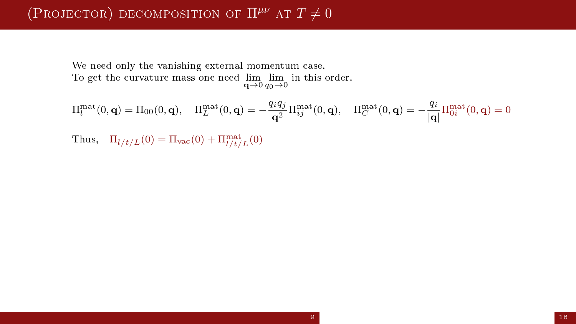## (PROJECTOR) DECOMPOSITION OF  $\Pi^{\mu\nu}$  at  $T \neq 0$

We need only the vanishing external momentum case. To get the curvature mass one need  $\lim_{\mathbf{q}\to 0} \lim_{q_0\to 0}$  in this order.

$$
\Pi_l^{\text{mat}}(0, \mathbf{q}) = \Pi_{00}(0, \mathbf{q}), \quad \Pi_L^{\text{mat}}(0, \mathbf{q}) = -\frac{q_i q_j}{\mathbf{q}^2} \Pi_{ij}^{\text{mat}}(0, \mathbf{q}), \quad \Pi_C^{\text{mat}}(0, \mathbf{q}) = -\frac{q_i}{|\mathbf{q}|} \Pi_{0i}^{\text{mat}}(0, \mathbf{q}) = 0
$$

Thus,  $\Pi_{l/t/L}(0) = \Pi_{\text{vac}}(0) + \Pi_{l/t/L}^{\text{mat}}(0)$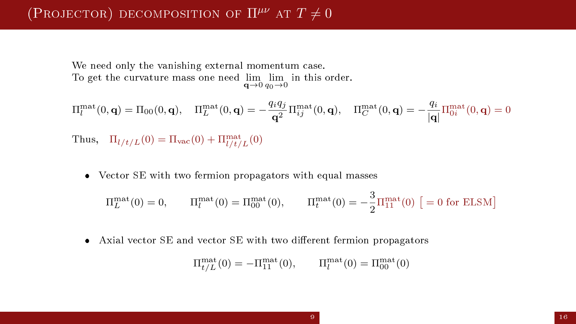## (PROJECTOR) DECOMPOSITION OF  $\Pi^{\mu\nu}$  at  $T \neq 0$

We need only the vanishing external momentum case. To get the curvature mass one need  $\lim_{\mathbf{q}\to 0} \lim_{q_0\to 0}$  in this order.

$$
\Pi_l^{\text{mat}}(0, \mathbf{q}) = \Pi_{00}(0, \mathbf{q}), \quad \Pi_L^{\text{mat}}(0, \mathbf{q}) = -\frac{q_i q_j}{\mathbf{q}^2} \Pi_{ij}^{\text{mat}}(0, \mathbf{q}), \quad \Pi_C^{\text{mat}}(0, \mathbf{q}) = -\frac{q_i}{|\mathbf{q}|} \Pi_{0i}^{\text{mat}}(0, \mathbf{q}) = 0
$$

Thus,  $\Pi_{l/t/L}(0) = \Pi_{\text{vac}}(0) + \Pi_{l/t/L}^{\text{mat}}(0)$ 

Vector SE with two fermion propagators with equal masses

$$
\Pi_L^{\text{mat}}(0) = 0, \qquad \Pi_l^{\text{mat}}(0) = \Pi_{00}^{\text{mat}}(0), \qquad \Pi_t^{\text{mat}}(0) = -\frac{3}{2} \Pi_{11}^{\text{mat}}(0) \ \big[ = 0 \text{ for ELSM} \big]
$$

 $\bullet$  Axial vector SE and vector SE with two different fermion propagators

$$
\Pi_{t/L}^{\text{mat}}(0) = -\Pi_{11}^{\text{mat}}(0), \qquad \Pi_l^{\text{mat}}(0) = \Pi_{00}^{\text{mat}}(0)
$$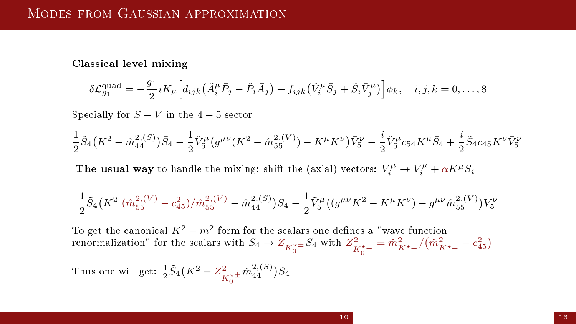Classical level mixing

$$
\delta \mathcal{L}_{g_1}^{\text{quad}} = -\frac{g_1}{2} i K_\mu \Big[ d_{ijk} \left( \tilde{A}_i^\mu \bar{P}_j - \tilde{P}_i \bar{A}_j \right) + f_{ijk} \left( \tilde{V}_i^\mu \bar{S}_j + \tilde{S}_i \bar{V}_j^\mu \right) \Big] \phi_k, \quad i, j, k = 0, \dots, 8
$$

Specially for  $S - V$  in the 4 − 5 sector

$$
\frac{1}{2}\tilde{S}_4\big(K^2-\hat{m}^{2,(S)}_{44}\big)\tilde{S}_4-\frac{1}{2}\tilde{V}^{\mu}_{5}\big(g^{\mu\nu}(K^2-\hat{m}^{2,(V)}_{55})-K^{\mu}K^{\nu}\big)\tilde{V}^{\nu}_{5}-\frac{i}{2}\tilde{V}^{\mu}_{5}c_{54}K^{\mu}\tilde{S}_4+\frac{i}{2}\tilde{S}_4c_{45}K^{\nu}\tilde{V}^{\nu}_{5}
$$

The usual way to handle the mixing: shift the (axial) vectors:  $V_i^{\mu} \rightarrow V_i^{\mu} + \alpha K^{\mu} S_i$ 

$$
\frac{1}{2}\tilde{S}_4\left(K^2\,\left(\hat{m}_{55}^{2,(V)}-c_{45}^2\right)/\hat{m}_{55}^{2,(V)}-\hat{m}_{44}^{2,(S)}\right)\tilde{S}_4-\frac{1}{2}\tilde{V}_5^{\mu}\left(\left(g^{\mu\nu}K^2-K^{\mu}K^{\nu}\right)-g^{\mu\nu}\hat{m}_{55}^{2,(V)}\right)\tilde{V}_5^{\nu}
$$

To get the canonical  $K^2-m^2$  form for the scalars one defines a "wave function renormalization" for the scalars with  $S_4\to Z_{K_0^{\star\pm}}S_4$  with  $Z^2_{K_0^{\star\pm}}=\hat m_{K^{\star\pm}}^2/(\hat m_{K^{\star\pm}}^2-c_{45}^2)$  $\bf{0}$ 

Thus one will get:  $\frac{1}{2}\tilde{S}_4(K^2 - Z^2_{K_0^{\star \pm}}\hat{m}^{2, (S)}_{44})\tilde{S}_4$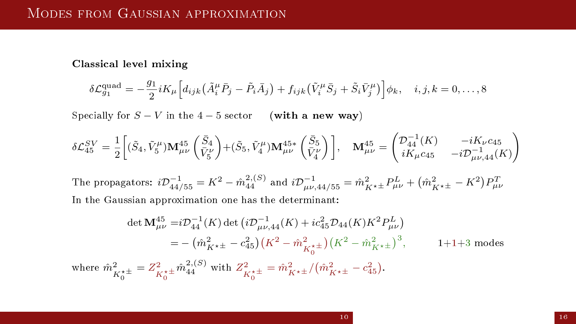Classical level mixing

$$
\delta \mathcal{L}_{g_1}^{\text{quad}} = -\frac{g_1}{2} i K_\mu \Big[ d_{ijk} \big( \tilde{A}_i^\mu \bar{P}_j - \tilde{P}_i \bar{A}_j \big) + f_{ijk} \big( \tilde{V}_i^\mu \bar{S}_j + \tilde{S}_i \bar{V}_j^\mu \big) \Big] \phi_k, \quad i, j, k = 0, \dots, 8
$$

Specially for  $S - V$  in the 4 − 5 sector (with a new way)

$$
\delta \mathcal{L}_{45}^{SV} = \frac{1}{2} \left[ (\tilde{S}_4, \tilde{V}_5^{\mu}) \mathbf{M}_{\mu\nu}^{45} \left( \frac{\bar{S}_4}{\bar{V}_5^{\nu}} \right) + (\tilde{S}_5, \tilde{V}_4^{\mu}) \mathbf{M}_{\mu\nu}^{45*} \left( \frac{\bar{S}_5}{\bar{V}_4^{\nu}} \right) \right], \quad \mathbf{M}_{\mu\nu}^{45} = \begin{pmatrix} \mathcal{D}_{44}^{-1}(K) & -iK_{\nu}c_{45} \\ iK_{\mu}c_{45} & -i\mathcal{D}_{\mu\nu,44}^{-1}(K) \end{pmatrix}
$$

The propagators:  $i\mathcal{D}_{44/55}^{-1} = K^2 - \hat{m}_{44}^{2,(S)}$  and  $i\mathcal{D}_{\mu\nu,44/55}^{-1} = \hat{m}_{K^{\star\pm}}^2 P_{\mu\nu}^L + (\hat{m}_{K^{\star\pm}}^2 - K^2) P_{\mu\nu}^T$ In the Gaussian approximation one has the determinant:

$$
\det \mathbf{M}^{45}_{\mu\nu} = i \mathcal{D}^{-4}_{44}(K) \det \left( i \mathcal{D}^{-1}_{\mu\nu,44}(K) + i c_{45}^2 \mathcal{D}_{44}(K) K^2 P^L_{\mu\nu} \right)
$$
  
\n
$$
= - \left( \hat{m}^2_{K^{\star \pm}} - c_{45}^2 \right) \left( K^2 - \hat{m}^2_{K^{\star \pm}_0} \right) \left( K^2 - \hat{m}^2_{K^{\star \pm}} \right)^3, \qquad 1 + 1 + 3 \text{ modes}
$$
  
\nwhere  $\hat{m}^2_{K^{\star \pm}_0} = Z^2_{K^{\star \pm}_0} \hat{m}^{2,(S)}_{44}$  with  $Z^2_{K^{\star \pm}_0} = \hat{m}^2_{K^{\star \pm}} / \left( \hat{m}^2_{K^{\star \pm}} - c_{45}^2 \right).$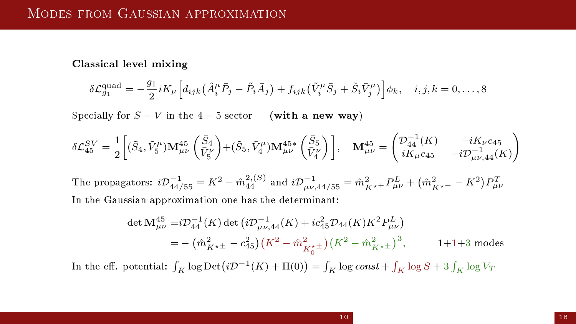Classical level mixing

$$
\delta \mathcal{L}_{g_1}^{\text{quad}} = -\frac{g_1}{2} i K_\mu \Big[ d_{ijk} \left( \tilde{A}_i^\mu \bar{P}_j - \tilde{P}_i \bar{A}_j \right) + f_{ijk} \left( \tilde{V}_i^\mu \bar{S}_j + \tilde{S}_i \bar{V}_j^\mu \right) \Big] \phi_k, \quad i, j, k = 0, \dots, 8
$$

Specially for  $S - V$  in the 4 − 5 sector (with a new way)

$$
\delta \mathcal{L}_{45}^{SV} = \frac{1}{2} \bigg[ (\tilde{S}_4, \tilde{V}_5^{\mu}) \mathbf{M}_{\mu\nu}^{45} \begin{pmatrix} \bar{S}_4 \\ \bar{V}_5^{\nu} \end{pmatrix} + (\tilde{S}_5, \tilde{V}_4^{\mu}) \mathbf{M}_{\mu\nu}^{45*} \begin{pmatrix} \bar{S}_5 \\ \bar{V}_4^{\nu} \end{pmatrix} \bigg], \quad \mathbf{M}_{\mu\nu}^{45} = \begin{pmatrix} \mathcal{D}_{44}^{-1}(K) & -iK_{\nu}c_{45} \\ iK_{\mu}c_{45} & -i\mathcal{D}_{\mu\nu,44}^{-1}(K) \end{pmatrix}
$$

The propagators:  $i\mathcal{D}_{44/55}^{-1} = K^2 - \hat{m}_{44}^{2,(S)}$  and  $i\mathcal{D}_{\mu\nu,44/55}^{-1} = \hat{m}_{K^{\star\pm}}^2 P_{\mu\nu}^L + (\hat{m}_{K^{\star\pm}}^2 - K^2) P_{\mu\nu}^T$ In the Gaussian approximation one has the determinant:

$$
\det \mathbf{M}^{45}_{\mu\nu} = i \mathcal{D}^{-1}_{44}(K) \det \left( i \mathcal{D}^{-1}_{\mu\nu,44}(K) + i c_{45}^2 \mathcal{D}_{44}(K) K^2 P^L_{\mu\nu} \right)
$$
  
=  $-(\hat{m}^2_{K^{\star\pm}} - c_{45}^2) \left( K^2 - \hat{m}^2_{K^{\star\pm}} \right) \left( K^2 - \hat{m}^2_{K^{\star\pm}} \right)^3$ , 1+1+3 modes

In the eff. potential:  $\int_K \log \text{Det} (i\mathcal{D}^{-1}(K) + \Pi(0)) = \int_K \log const + \int_K \log S + 3\int_K \log V_T$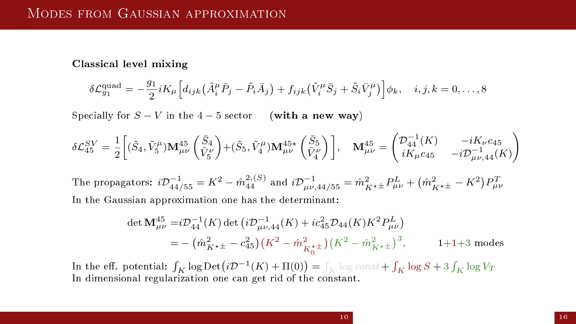Classical level mixing

$$
\delta \mathcal{L}_{g_1}^{\text{quad}} = -\frac{g_1}{2} i K_\mu \Big[ d_{ijk} \left( \tilde{A}_i^\mu \bar{P}_j - \tilde{P}_i \bar{A}_j \right) + f_{ijk} \left( \tilde{V}_i^\mu \bar{S}_j + \tilde{S}_i \bar{V}_j^\mu \right) \Big] \phi_k, \quad i, j, k = 0, \dots, 8
$$

Specially for  $S - V$  in the 4 − 5 sector (with a new way)

$$
\delta \mathcal{L}_{45}^{SV} = \frac{1}{2} \left[ (\tilde{S}_4, \tilde{V}_5^{\mu}) \mathbf{M}_{\mu\nu}^{45} \left( \frac{\bar{S}_4}{\bar{V}_5^{\nu}} \right) + (\tilde{S}_5, \tilde{V}_4^{\mu}) \mathbf{M}_{\mu\nu}^{45*} \left( \frac{\bar{S}_5}{\bar{V}_4^{\nu}} \right) \right], \quad \mathbf{M}_{\mu\nu}^{45} = \begin{pmatrix} \mathcal{D}_{44}^{-1}(K) & -iK_{\nu}c_{45} \\ iK_{\mu}c_{45} & -i\mathcal{D}_{\mu\nu,44}^{-1}(K) \end{pmatrix}
$$

The propagators:  $i\mathcal{D}_{44/55}^{-1} = K^2 - \hat{m}_{44}^{2,(S)}$  and  $i\mathcal{D}_{\mu\nu,44/55}^{-1} = \hat{m}_{K^{\star\pm}}^2 P_{\mu\nu}^L + (\hat{m}_{K^{\star\pm}}^2 - K^2) P_{\mu\nu}^T$ In the Gaussian approximation one has the determinant:

$$
\det \mathbf{M}^{45}_{\mu\nu} = i \mathcal{D}^{-1}_{44}(K) \det \left( i \mathcal{D}^{-1}_{\mu\nu,44}(K) + i c_{45}^2 \mathcal{D}_{44}(K) K^2 P^L_{\mu\nu} \right)
$$
  
=  $-(\hat{m}^2_{K^{\star\pm}} - c_{45}^2) \left( K^2 - \hat{m}^2_{K^{\star\pm}} \right) \left( K^2 - \hat{m}^2_{K^{\star\pm}} \right)^3$ , 1+1+3 modes

In the eff. potential:  $\int_K \log \mathrm{Det} \big( i\mathcal{D}^{-1}(K) + \Pi(0) \big) = \int_K \log const + \int_K \log S + 3\int_K \log V_T$ In dimensional regularization one can get rid of the constant.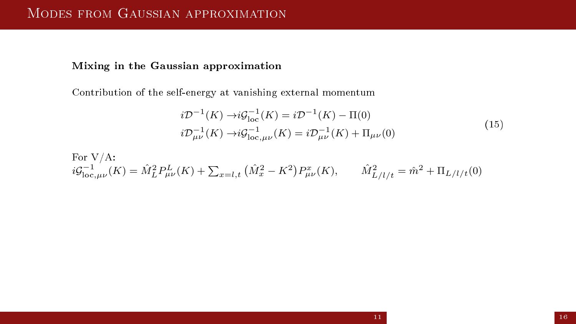#### Mixing in the Gaussian approximation

Contribution of the self-energy at vanishing external momentum

$$
i\mathcal{D}^{-1}(K) \rightarrow i\mathcal{G}_{\text{loc}}^{-1}(K) = i\mathcal{D}^{-1}(K) - \Pi(0)
$$
  
\n
$$
i\mathcal{D}_{\mu\nu}^{-1}(K) \rightarrow i\mathcal{G}_{\text{loc},\mu\nu}^{-1}(K) = i\mathcal{D}_{\mu\nu}^{-1}(K) + \Pi_{\mu\nu}(0)
$$
\n(15)

For V/A:  
\n
$$
i\mathcal{G}_{\text{loc},\mu\nu}^{-1}(K) = \hat{M}_L^2 P_{\mu\nu}^L(K) + \sum_{x=l,t} (\hat{M}_x^2 - K^2) P_{\mu\nu}^x(K), \qquad \hat{M}_{L/l/t}^2 = \hat{m}^2 + \Pi_{L/l/t}(0)
$$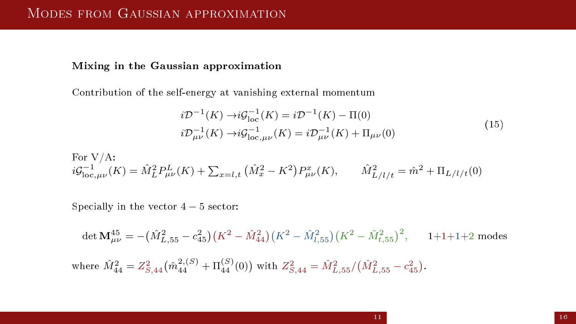#### Mixing in the Gaussian approximation

Contribution of the self-energy at vanishing external momentum

$$
i\mathcal{D}^{-1}(K) \rightarrow i\mathcal{G}_{\text{loc}}^{-1}(K) = i\mathcal{D}^{-1}(K) - \Pi(0)
$$
  
\n
$$
i\mathcal{D}_{\mu\nu}^{-1}(K) \rightarrow i\mathcal{G}_{\text{loc},\mu\nu}^{-1}(K) = i\mathcal{D}_{\mu\nu}^{-1}(K) + \Pi_{\mu\nu}(0)
$$
\n(15)

For V/A:  
\n
$$
i\mathcal{G}_{\text{loc},\mu\nu}^{-1}(K) = \hat{M}_L^2 P_{\mu\nu}^L(K) + \sum_{x=l,t} (\hat{M}_x^2 - K^2) P_{\mu\nu}^x(K), \qquad \hat{M}_{L/l/t}^2 = \hat{m}^2 + \Pi_{L/l/t}(0)
$$

Specially in the vector  $4 - 5$  sector:

det  ${\bf M}_{\mu\nu}^{45} = -\left( {\hat{M}_{L,55}^2 - c_{45}^2} \right)\left( {K^2 - \hat{M}_{44}^2} \right)\left( {K^2 - \hat{M}_{l,55}^2} \right)\left( {K^2 - \hat{M}_{t,55}^2} \right)^2, \qquad 1 + 1 + 1 + 2 \,\, {\rm modes}$ where  $\hat{M}^2_{44} = Z^2_{S,44} \big( \hat{m}^{2,(S)}_{44} + \Pi^{(S)}_{44}(0) \big)$  with  $Z^2_{S,44} = \hat{M}^2_{L,55}/ \big( \hat{M}^2_{L,55} - c^2_{45} \big).$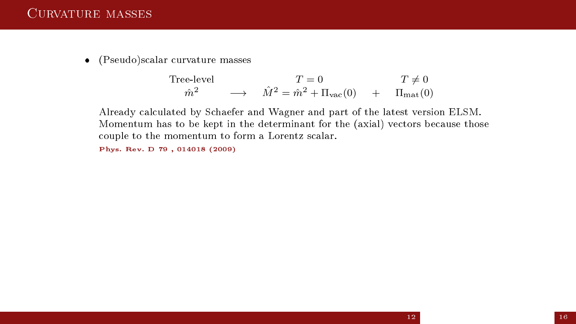(Pseudo)scalar curvature masses

$$
\begin{array}{ccc}\n\text{Tree-level} & & T = 0 & T \neq 0 \\
\hat{m}^2 & \longrightarrow & \hat{M}^2 = \hat{m}^2 + \Pi_{\text{vac}}(0) & + & \Pi_{\text{mat}}(0)\n\end{array}
$$

Already calculated by Schaefer and Wagner and part of the latest version ELSM. Momentum has to be kept in the determinant for the (axial) vectors because those couple to the momentum to form a Lorentz scalar.

Phys. Rev. D 79 , 014018 (2009)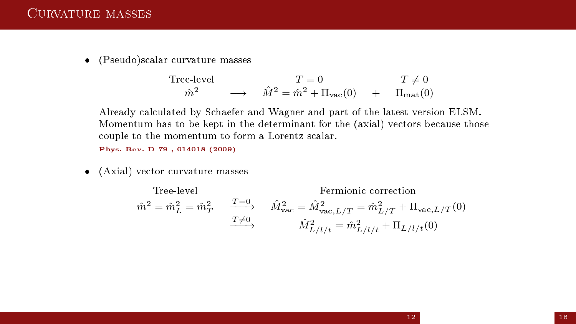(Pseudo)scalar curvature masses

$$
\begin{array}{ccc}\n\text{Tree-level} & & T = 0 & T \neq 0 \\
\hat{m}^2 & \longrightarrow & \hat{M}^2 = \hat{m}^2 + \Pi_{\text{vac}}(0) & + & \Pi_{\text{mat}}(0)\n\end{array}
$$

Already calculated by Schaefer and Wagner and part of the latest version ELSM. Momentum has to be kept in the determinant for the (axial) vectors because those couple to the momentum to form a Lorentz scalar.

Phys. Rev. D 79 , 014018 (2009)

(Axial) vector curvature masses

Tree-level Fermionic correction  
\n
$$
\hat{m}^2 = \hat{m}_L^2 = \hat{m}_T^2 \qquad \frac{T=0}{T\neq 0} \qquad \hat{M}_{\text{vac}}^2 = \hat{M}_{\text{vac},L/T}^2 = \hat{m}_L^2 / T + \Pi_{\text{vac},L/T}(0)
$$
\n
$$
\hat{M}_{L/l/t}^2 = \hat{m}_{L/l/t}^2 + \Pi_{L/l/t}(0)
$$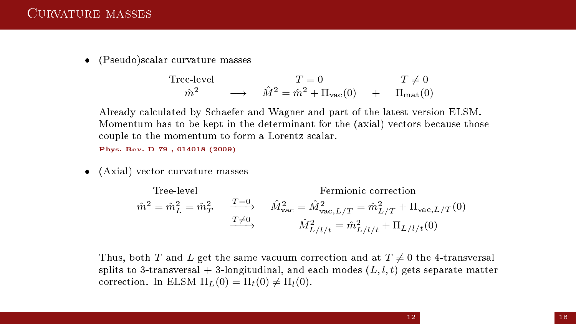(Pseudo)scalar curvature masses

$$
\begin{array}{ccc}\n\text{Tree-level} & & T = 0 & T \neq 0 \\
\hat{m}^2 & \longrightarrow & \hat{M}^2 = \hat{m}^2 + \Pi_{\text{vac}}(0) & + & \Pi_{\text{mat}}(0)\n\end{array}
$$

Already calculated by Schaefer and Wagner and part of the latest version ELSM. Momentum has to be kept in the determinant for the (axial) vectors because those couple to the momentum to form a Lorentz scalar.

Phys. Rev. D 79 , 014018 (2009)

(Axial) vector curvature masses

Tree-level

\nFermionic correction

\n
$$
\hat{m}^2 = \hat{m}_L^2 = \hat{m}_T^2
$$
\n
$$
\xrightarrow{T=0} \hat{M}_{\text{vac}}^2 = \hat{M}_{\text{vac},L/T}^2 = \hat{m}_L^2 / T + \Pi_{\text{vac},L/T}(0)
$$
\n
$$
\xrightarrow{T \neq 0} \hat{M}_{L/l/t}^2 = \hat{m}_{L/l/t}^2 + \Pi_{L/l/t}(0)
$$

Thus, both T and L get the same vacuum correction and at  $T \neq 0$  the 4-transversal splits to 3-transversal  $+$  3-longitudinal, and each modes  $(L, l, t)$  gets separate matter correction. In ELSM  $\Pi_L(0) = \Pi_t(0) \neq \Pi_l(0)$ .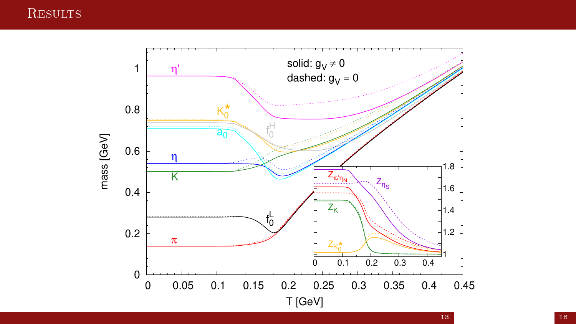### **RESULTS**

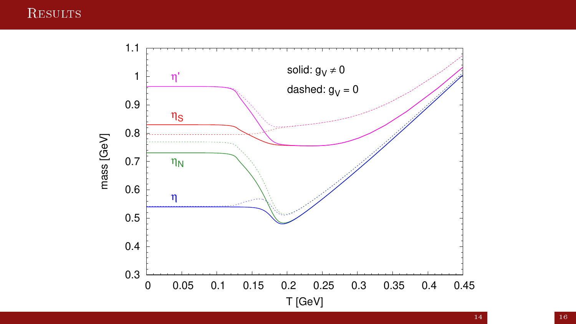### **RESULTS**

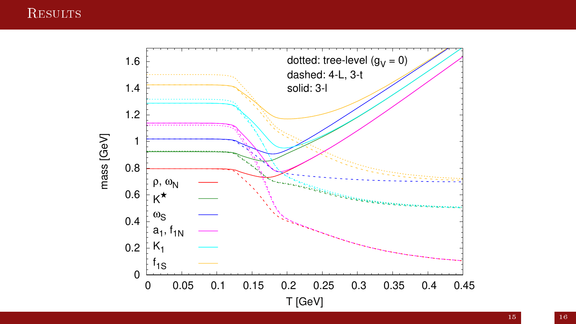### **RESULTS**



15 16